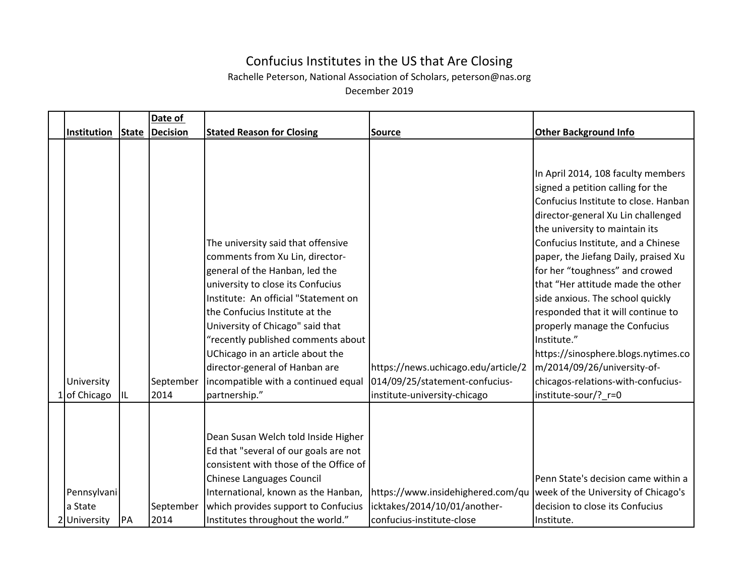## Confucius Institutes in the US that Are Closing

Rachelle Peterson, National Association of Scholars, peterson@nas.org

December 2019

|                    |              | Date of   |                                        |                                     |                                      |
|--------------------|--------------|-----------|----------------------------------------|-------------------------------------|--------------------------------------|
| <b>Institution</b> | <b>State</b> | Decision  | <b>Stated Reason for Closing</b>       | <b>Source</b>                       | <b>Other Background Info</b>         |
|                    |              |           |                                        |                                     |                                      |
|                    |              |           |                                        |                                     | In April 2014, 108 faculty members   |
|                    |              |           |                                        |                                     | signed a petition calling for the    |
|                    |              |           |                                        |                                     | Confucius Institute to close. Hanban |
|                    |              |           |                                        |                                     | director-general Xu Lin challenged   |
|                    |              |           |                                        |                                     | the university to maintain its       |
|                    |              |           | The university said that offensive     |                                     | Confucius Institute, and a Chinese   |
|                    |              |           | comments from Xu Lin, director-        |                                     | paper, the Jiefang Daily, praised Xu |
|                    |              |           | general of the Hanban, led the         |                                     | for her "toughness" and crowed       |
|                    |              |           | university to close its Confucius      |                                     | that "Her attitude made the other    |
|                    |              |           | Institute: An official "Statement on   |                                     | side anxious. The school quickly     |
|                    |              |           | the Confucius Institute at the         |                                     | responded that it will continue to   |
|                    |              |           | University of Chicago" said that       |                                     | properly manage the Confucius        |
|                    |              |           | "recently published comments about     |                                     | Institute."                          |
|                    |              |           | UChicago in an article about the       |                                     | https://sinosphere.blogs.nytimes.co  |
|                    |              |           | director-general of Hanban are         | https://news.uchicago.edu/article/2 | m/2014/09/26/university-of-          |
| University         |              | September | incompatible with a continued equal    | 014/09/25/statement-confucius-      | chicagos-relations-with-confucius-   |
| 1 of Chicago       |              | 2014      | partnership."                          | institute-university-chicago        | institute-sour/?_r=0                 |
|                    |              |           |                                        |                                     |                                      |
|                    |              |           |                                        |                                     |                                      |
|                    |              |           | Dean Susan Welch told Inside Higher    |                                     |                                      |
|                    |              |           | Ed that "several of our goals are not  |                                     |                                      |
|                    |              |           | consistent with those of the Office of |                                     |                                      |
|                    |              |           | Chinese Languages Council              |                                     | Penn State's decision came within a  |
| Pennsylvani        |              |           | International, known as the Hanban,    | https://www.insidehighered.com/qu   | week of the University of Chicago's  |
| a State            |              | September | which provides support to Confucius    | icktakes/2014/10/01/another-        | decision to close its Confucius      |
| 2 University       | PA           | 2014      | Institutes throughout the world."      | confucius-institute-close           | Institute.                           |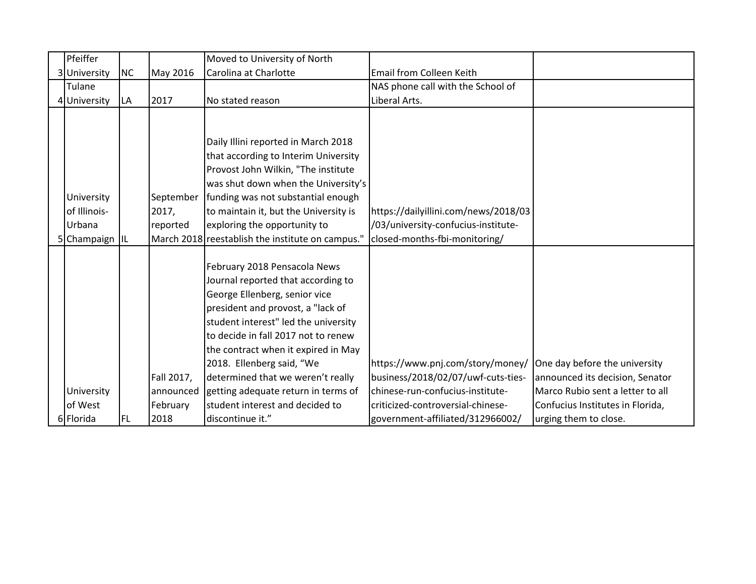| Pfeiffer       |           |            | Moved to University of North                     |                                      |                                  |
|----------------|-----------|------------|--------------------------------------------------|--------------------------------------|----------------------------------|
| 3 University   | <b>NC</b> | May 2016   | Carolina at Charlotte                            | Email from Colleen Keith             |                                  |
| Tulane         |           |            |                                                  | NAS phone call with the School of    |                                  |
| 4 University   | LA        | 2017       | No stated reason                                 | Liberal Arts.                        |                                  |
|                |           |            |                                                  |                                      |                                  |
|                |           |            |                                                  |                                      |                                  |
|                |           |            | Daily Illini reported in March 2018              |                                      |                                  |
|                |           |            | that according to Interim University             |                                      |                                  |
|                |           |            | Provost John Wilkin, "The institute              |                                      |                                  |
|                |           |            | was shut down when the University's              |                                      |                                  |
| University     |           | September  | funding was not substantial enough               |                                      |                                  |
| of Illinois-   |           | 2017,      | to maintain it, but the University is            | https://dailyillini.com/news/2018/03 |                                  |
| Urbana         |           | reported   | exploring the opportunity to                     | /03/university-confucius-institute-  |                                  |
| 5 Champaign IL |           |            | March 2018 reestablish the institute on campus." | closed-months-fbi-monitoring/        |                                  |
|                |           |            |                                                  |                                      |                                  |
|                |           |            | February 2018 Pensacola News                     |                                      |                                  |
|                |           |            | Journal reported that according to               |                                      |                                  |
|                |           |            | George Ellenberg, senior vice                    |                                      |                                  |
|                |           |            | president and provost, a "lack of                |                                      |                                  |
|                |           |            | student interest" led the university             |                                      |                                  |
|                |           |            | to decide in fall 2017 not to renew              |                                      |                                  |
|                |           |            | the contract when it expired in May              |                                      |                                  |
|                |           |            | 2018. Ellenberg said, "We                        | https://www.pnj.com/story/money/     | One day before the university    |
|                |           | Fall 2017, | determined that we weren't really                | business/2018/02/07/uwf-cuts-ties-   | announced its decision, Senator  |
| University     |           | announced  | getting adequate return in terms of              | chinese-run-confucius-institute-     | Marco Rubio sent a letter to all |
| of West        |           | February   | student interest and decided to                  | criticized-controversial-chinese-    | Confucius Institutes in Florida, |
| 6 Florida      | FL.       | 2018       | discontinue it."                                 | government-affiliated/312966002/     | urging them to close.            |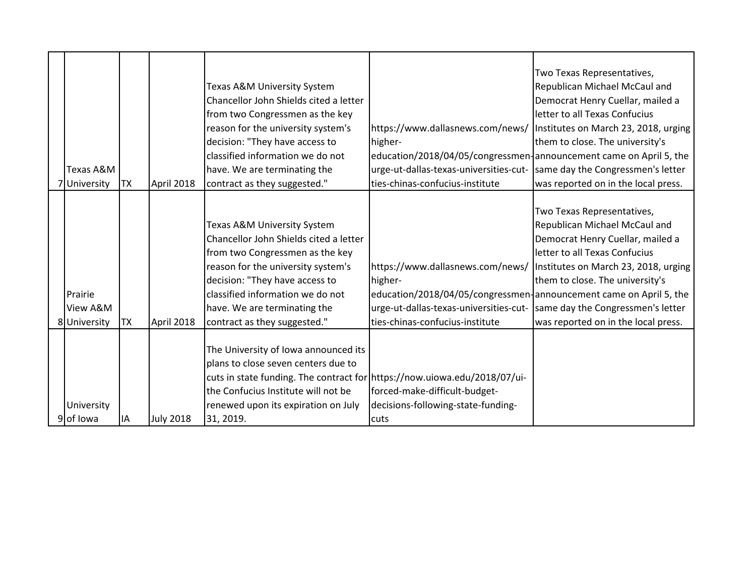|                      |           |                  |                                                                           |                                                                          | Two Texas Representatives,           |
|----------------------|-----------|------------------|---------------------------------------------------------------------------|--------------------------------------------------------------------------|--------------------------------------|
|                      |           |                  | Texas A&M University System                                               |                                                                          | Republican Michael McCaul and        |
|                      |           |                  | Chancellor John Shields cited a letter                                    |                                                                          | Democrat Henry Cuellar, mailed a     |
|                      |           |                  | from two Congressmen as the key                                           |                                                                          | letter to all Texas Confucius        |
|                      |           |                  | reason for the university system's                                        | https://www.dallasnews.com/news/                                         | Institutes on March 23, 2018, urging |
|                      |           |                  | decision: "They have access to                                            | higher-                                                                  | them to close. The university's      |
|                      |           |                  | classified information we do not                                          | education/2018/04/05/congressmen-announcement came on April 5, the       |                                      |
| <b>Texas A&amp;M</b> |           |                  | have. We are terminating the                                              | urge-ut-dallas-texas-universities-cut- same day the Congressmen's letter |                                      |
| 7 University         | <b>TX</b> | April 2018       | contract as they suggested."                                              | ties-chinas-confucius-institute                                          | was reported on in the local press.  |
|                      |           |                  |                                                                           |                                                                          |                                      |
|                      |           |                  |                                                                           |                                                                          | Two Texas Representatives,           |
|                      |           |                  | Texas A&M University System                                               |                                                                          | Republican Michael McCaul and        |
|                      |           |                  | Chancellor John Shields cited a letter                                    |                                                                          | Democrat Henry Cuellar, mailed a     |
|                      |           |                  | from two Congressmen as the key                                           |                                                                          | letter to all Texas Confucius        |
|                      |           |                  | reason for the university system's                                        | https://www.dallasnews.com/news/   Institutes on March 23, 2018, urging  |                                      |
|                      |           |                  | decision: "They have access to                                            | higher-                                                                  | them to close. The university's      |
| Prairie              |           |                  | classified information we do not                                          | education/2018/04/05/congressmen-announcement came on April 5, the       |                                      |
| View A&M             |           |                  | have. We are terminating the                                              | urge-ut-dallas-texas-universities-cut-                                   | same day the Congressmen's letter    |
| 8 University         | ТX        | April 2018       | contract as they suggested."                                              | ties-chinas-confucius-institute                                          | was reported on in the local press.  |
|                      |           |                  |                                                                           |                                                                          |                                      |
|                      |           |                  | The University of Iowa announced its                                      |                                                                          |                                      |
|                      |           |                  | plans to close seven centers due to                                       |                                                                          |                                      |
|                      |           |                  | cuts in state funding. The contract for https://now.uiowa.edu/2018/07/ui- |                                                                          |                                      |
|                      |           |                  | the Confucius Institute will not be                                       | forced-make-difficult-budget-                                            |                                      |
| University           |           |                  | renewed upon its expiration on July                                       | decisions-following-state-funding-                                       |                                      |
| 9 of Iowa            | IA        | <b>July 2018</b> | 31, 2019.                                                                 | cuts                                                                     |                                      |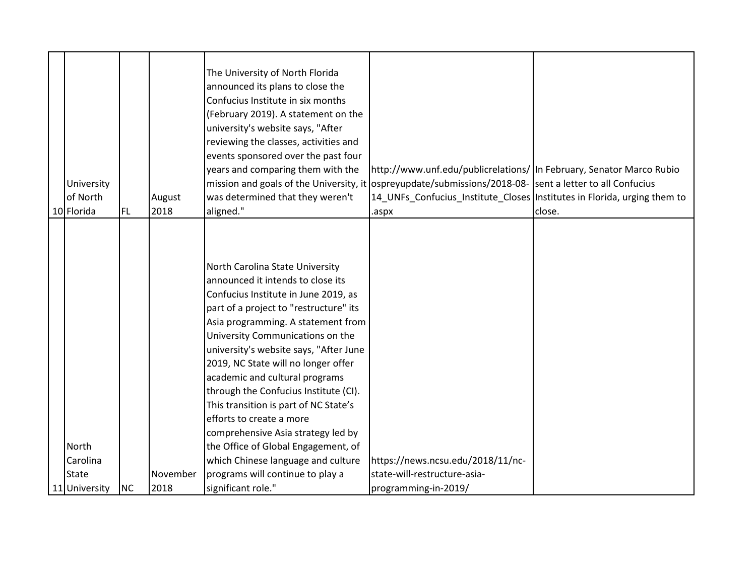|                          |           |          | The University of North Florida<br>announced its plans to close the<br>Confucius Institute in six months<br>(February 2019). A statement on the<br>university's website says, "After<br>reviewing the classes, activities and<br>events sponsored over the past four<br>years and comparing them with the                                                                                                                                                                                                                                                                            | http://www.unf.edu/publicrelations/ In February, Senator Marco Rubio                                     |        |
|--------------------------|-----------|----------|--------------------------------------------------------------------------------------------------------------------------------------------------------------------------------------------------------------------------------------------------------------------------------------------------------------------------------------------------------------------------------------------------------------------------------------------------------------------------------------------------------------------------------------------------------------------------------------|----------------------------------------------------------------------------------------------------------|--------|
| University               |           |          |                                                                                                                                                                                                                                                                                                                                                                                                                                                                                                                                                                                      | mission and goals of the University, it ospreyupdate/submissions/2018-08- sent a letter to all Confucius |        |
| of North                 |           | August   | was determined that they weren't                                                                                                                                                                                                                                                                                                                                                                                                                                                                                                                                                     | 14_UNFs_Confucius_Institute_Closes   Institutes in Florida, urging them to                               |        |
| 10 Florida               | <b>FL</b> | 2018     | aligned."                                                                                                                                                                                                                                                                                                                                                                                                                                                                                                                                                                            | .aspx                                                                                                    | close. |
| <b>North</b><br>Carolina |           |          | North Carolina State University<br>announced it intends to close its<br>Confucius Institute in June 2019, as<br>part of a project to "restructure" its<br>Asia programming. A statement from<br>University Communications on the<br>university's website says, "After June<br>2019, NC State will no longer offer<br>academic and cultural programs<br>through the Confucius Institute (CI).<br>This transition is part of NC State's<br>efforts to create a more<br>comprehensive Asia strategy led by<br>the Office of Global Engagement, of<br>which Chinese language and culture | https://news.ncsu.edu/2018/11/nc-                                                                        |        |
| <b>State</b>             |           | November | programs will continue to play a                                                                                                                                                                                                                                                                                                                                                                                                                                                                                                                                                     | state-will-restructure-asia-                                                                             |        |
| 11 University            | <b>NC</b> | 2018     | significant role."                                                                                                                                                                                                                                                                                                                                                                                                                                                                                                                                                                   | programming-in-2019/                                                                                     |        |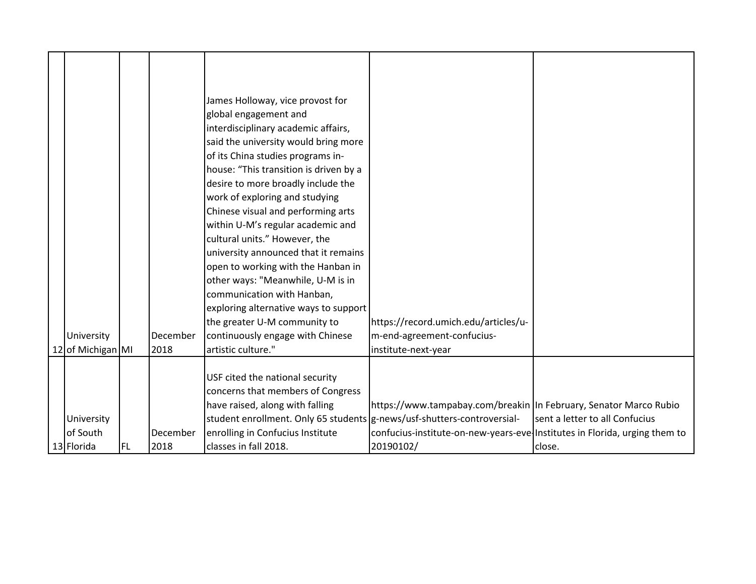|  |                   |           |          | James Holloway, vice provost for                                        |                                                                              |                                |
|--|-------------------|-----------|----------|-------------------------------------------------------------------------|------------------------------------------------------------------------------|--------------------------------|
|  |                   |           |          | global engagement and                                                   |                                                                              |                                |
|  |                   |           |          | interdisciplinary academic affairs,                                     |                                                                              |                                |
|  |                   |           |          | said the university would bring more                                    |                                                                              |                                |
|  |                   |           |          | of its China studies programs in-                                       |                                                                              |                                |
|  |                   |           |          | house: "This transition is driven by a                                  |                                                                              |                                |
|  |                   |           |          | desire to more broadly include the                                      |                                                                              |                                |
|  |                   |           |          | work of exploring and studying                                          |                                                                              |                                |
|  |                   |           |          |                                                                         |                                                                              |                                |
|  |                   |           |          | Chinese visual and performing arts                                      |                                                                              |                                |
|  |                   |           |          | within U-M's regular academic and                                       |                                                                              |                                |
|  |                   |           |          | cultural units." However, the                                           |                                                                              |                                |
|  |                   |           |          | university announced that it remains                                    |                                                                              |                                |
|  |                   |           |          | open to working with the Hanban in                                      |                                                                              |                                |
|  |                   |           |          | other ways: "Meanwhile, U-M is in                                       |                                                                              |                                |
|  |                   |           |          | communication with Hanban,                                              |                                                                              |                                |
|  |                   |           |          | exploring alternative ways to support                                   |                                                                              |                                |
|  |                   |           |          | the greater U-M community to                                            | https://record.umich.edu/articles/u-                                         |                                |
|  | University        |           | December | continuously engage with Chinese                                        | m-end-agreement-confucius-                                                   |                                |
|  | 12 of Michigan MI |           | 2018     | artistic culture."                                                      | institute-next-year                                                          |                                |
|  |                   |           |          |                                                                         |                                                                              |                                |
|  |                   |           |          | USF cited the national security                                         |                                                                              |                                |
|  |                   |           |          | concerns that members of Congress                                       |                                                                              |                                |
|  |                   |           |          | have raised, along with falling                                         | https://www.tampabay.com/breakin In February, Senator Marco Rubio            |                                |
|  |                   |           |          |                                                                         |                                                                              | sent a letter to all Confucius |
|  | University        |           |          | student enrollment. Only 65 students g-news/usf-shutters-controversial- |                                                                              |                                |
|  | of South          |           | December | enrolling in Confucius Institute                                        | confucius-institute-on-new-years-eve   Institutes in Florida, urging them to |                                |
|  | 13 Florida        | <b>FL</b> | 2018     | classes in fall 2018.                                                   | 20190102/                                                                    | close.                         |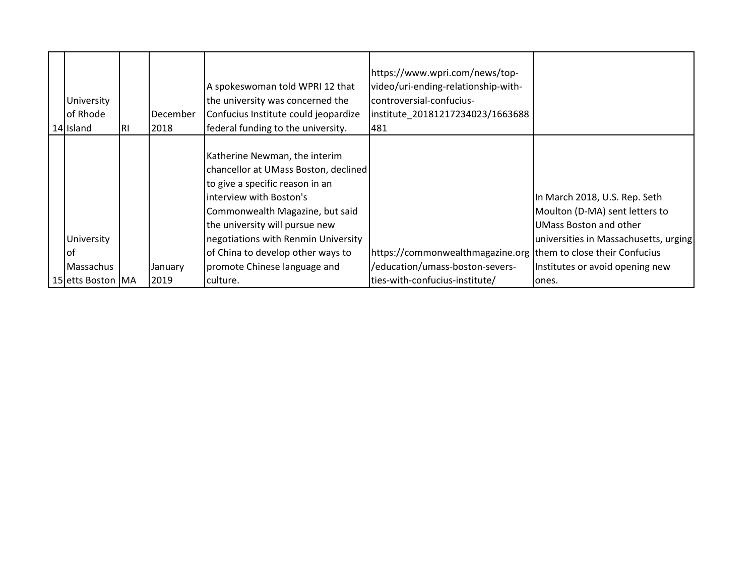| University<br>of Rhode<br>14 Island | IRI | December<br>2018 | A spokeswoman told WPRI 12 that<br>the university was concerned the<br>Confucius Institute could jeopardize<br>federal funding to the university.                                                                                                                                                                    | https://www.wpri.com/news/top-<br>video/uri-ending-relationship-with-<br>controversial-confucius-<br>institute 20181217234023/1663688<br>481 |                                                                                                                                                                       |
|-------------------------------------|-----|------------------|----------------------------------------------------------------------------------------------------------------------------------------------------------------------------------------------------------------------------------------------------------------------------------------------------------------------|----------------------------------------------------------------------------------------------------------------------------------------------|-----------------------------------------------------------------------------------------------------------------------------------------------------------------------|
| University<br>lof<br>Massachus      |     | January          | Katherine Newman, the interim<br>chancellor at UMass Boston, declined<br>to give a specific reason in an<br>interview with Boston's<br>Commonwealth Magazine, but said<br>the university will pursue new<br>negotiations with Renmin University<br>of China to develop other ways to<br>promote Chinese language and | https://commonwealthmagazine.org them to close their Confucius<br>/education/umass-boston-severs-                                            | In March 2018, U.S. Rep. Seth<br>Moulton (D-MA) sent letters to<br>UMass Boston and other<br>universities in Massachusetts, urging<br>Institutes or avoid opening new |
| 15 etts Boston MA                   |     | 2019             | culture.                                                                                                                                                                                                                                                                                                             | ties-with-confucius-institute/                                                                                                               | ones.                                                                                                                                                                 |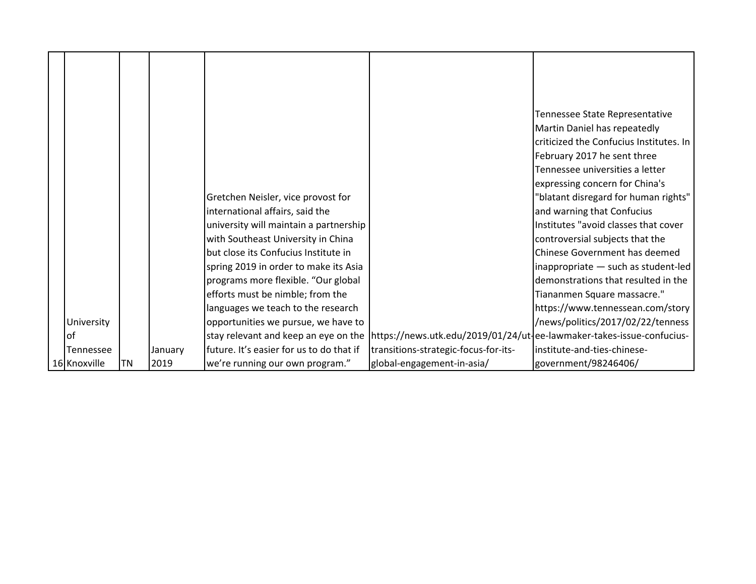|              |    |         |                                          |                                                                                                             | Tennessee State Representative          |
|--------------|----|---------|------------------------------------------|-------------------------------------------------------------------------------------------------------------|-----------------------------------------|
|              |    |         |                                          |                                                                                                             | Martin Daniel has repeatedly            |
|              |    |         |                                          |                                                                                                             | criticized the Confucius Institutes. In |
|              |    |         |                                          |                                                                                                             | February 2017 he sent three             |
|              |    |         |                                          |                                                                                                             | Tennessee universities a letter         |
|              |    |         |                                          |                                                                                                             | expressing concern for China's          |
|              |    |         | Gretchen Neisler, vice provost for       |                                                                                                             | "blatant disregard for human rights"    |
|              |    |         | international affairs, said the          |                                                                                                             | and warning that Confucius              |
|              |    |         | university will maintain a partnership   |                                                                                                             | Institutes "avoid classes that cover    |
|              |    |         | with Southeast University in China       |                                                                                                             | controversial subjects that the         |
|              |    |         | but close its Confucius Institute in     |                                                                                                             | Chinese Government has deemed           |
|              |    |         | spring 2019 in order to make its Asia    |                                                                                                             | inappropriate - such as student-led     |
|              |    |         | programs more flexible. "Our global      |                                                                                                             | demonstrations that resulted in the     |
|              |    |         | efforts must be nimble; from the         |                                                                                                             | Tiananmen Square massacre."             |
|              |    |         | languages we teach to the research       |                                                                                                             | https://www.tennessean.com/story        |
| University   |    |         | opportunities we pursue, we have to      |                                                                                                             | /news/politics/2017/02/22/tenness       |
| lof          |    |         |                                          | stay relevant and keep an eye on the  https://news.utk.edu/2019/01/24/ut-ee-lawmaker-takes-issue-confucius- |                                         |
| Tennessee    |    | January | future. It's easier for us to do that if | transitions-strategic-focus-for-its-                                                                        | institute-and-ties-chinese-             |
| 16 Knoxville | ΤN | 2019    | we're running our own program."          | global-engagement-in-asia/                                                                                  | government/98246406/                    |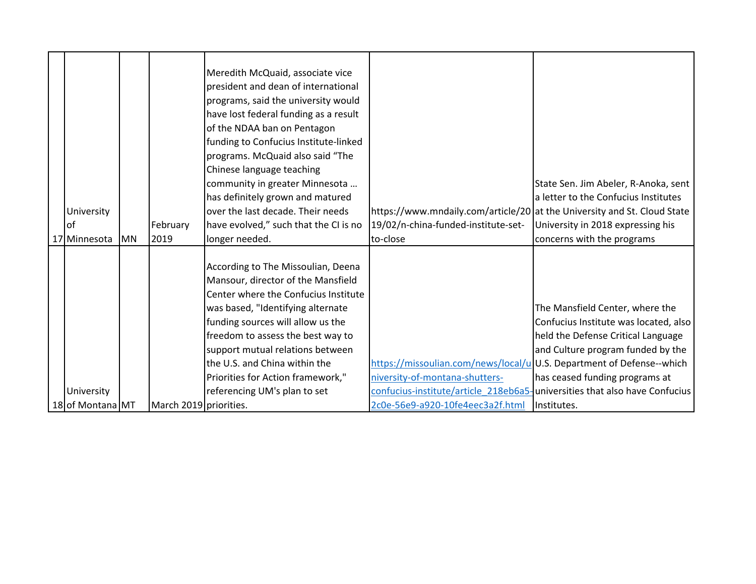|                  |           |                        | Meredith McQuaid, associate vice<br>president and dean of international<br>programs, said the university would<br>have lost federal funding as a result<br>of the NDAA ban on Pentagon<br>funding to Confucius Institute-linked<br>programs. McQuaid also said "The |                                                                            |                                       |
|------------------|-----------|------------------------|---------------------------------------------------------------------------------------------------------------------------------------------------------------------------------------------------------------------------------------------------------------------|----------------------------------------------------------------------------|---------------------------------------|
|                  |           |                        | Chinese language teaching<br>community in greater Minnesota                                                                                                                                                                                                         |                                                                            | State Sen. Jim Abeler, R-Anoka, sent  |
|                  |           |                        | has definitely grown and matured                                                                                                                                                                                                                                    |                                                                            | a letter to the Confucius Institutes  |
| University       |           |                        | over the last decade. Their needs                                                                                                                                                                                                                                   | https://www.mndaily.com/article/20 at the University and St. Cloud State   |                                       |
| <b>of</b>        |           | February               | have evolved," such that the CI is no                                                                                                                                                                                                                               | 19/02/n-china-funded-institute-set-                                        | University in 2018 expressing his     |
| 17 Minnesota     | <b>MN</b> | 2019                   | longer needed.                                                                                                                                                                                                                                                      | to-close                                                                   | concerns with the programs            |
|                  |           |                        | According to The Missoulian, Deena<br>Mansour, director of the Mansfield<br>Center where the Confucius Institute                                                                                                                                                    |                                                                            |                                       |
|                  |           |                        | was based, "Identifying alternate                                                                                                                                                                                                                                   |                                                                            | The Mansfield Center, where the       |
|                  |           |                        | funding sources will allow us the                                                                                                                                                                                                                                   |                                                                            | Confucius Institute was located, also |
|                  |           |                        | freedom to assess the best way to                                                                                                                                                                                                                                   |                                                                            | held the Defense Critical Language    |
|                  |           |                        | support mutual relations between                                                                                                                                                                                                                                    |                                                                            | and Culture program funded by the     |
|                  |           |                        | the U.S. and China within the                                                                                                                                                                                                                                       | https://missoulian.com/news/local/u U.S. Department of Defense--which      |                                       |
|                  |           |                        | Priorities for Action framework,"                                                                                                                                                                                                                                   | niversity-of-montana-shutters-                                             | has ceased funding programs at        |
| University       |           |                        | referencing UM's plan to set                                                                                                                                                                                                                                        | confucius-institute/article 218eb6a5-universities that also have Confucius |                                       |
| 18 of Montana MT |           | March 2019 priorities. |                                                                                                                                                                                                                                                                     | 2c0e-56e9-a920-10fe4eec3a2f.html                                           | Institutes.                           |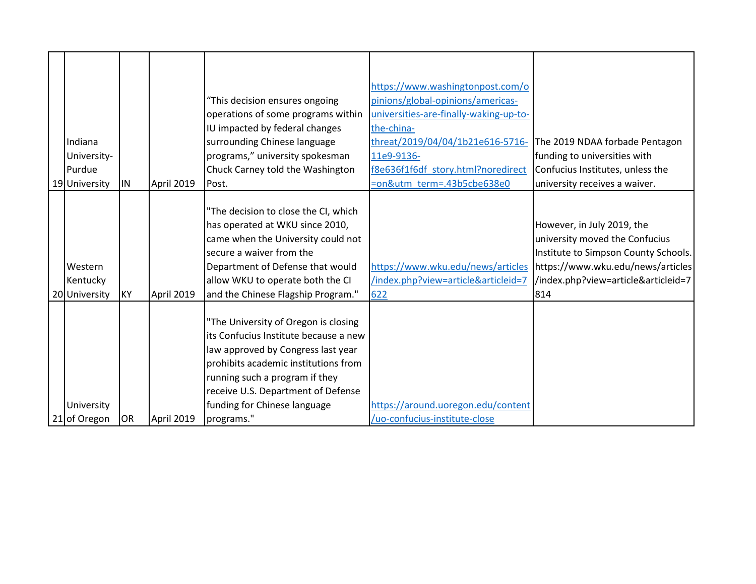| Indiana<br>University-<br>Purdue     |           |            | "This decision ensures ongoing<br>operations of some programs within<br>IU impacted by federal changes<br>surrounding Chinese language<br>programs," university spokesman<br>Chuck Carney told the Washington                                                                     | https://www.washingtonpost.com/o<br>pinions/global-opinions/americas-<br>universities-are-finally-waking-up-to-<br>the-china-<br>threat/2019/04/04/1b21e616-5716-<br>11e9-9136-<br>f8e636f1f6df story.html?noredirect | The 2019 NDAA forbade Pentagon<br>funding to universities with<br>Confucius Institutes, unless the                                                                                      |
|--------------------------------------|-----------|------------|-----------------------------------------------------------------------------------------------------------------------------------------------------------------------------------------------------------------------------------------------------------------------------------|-----------------------------------------------------------------------------------------------------------------------------------------------------------------------------------------------------------------------|-----------------------------------------------------------------------------------------------------------------------------------------------------------------------------------------|
| 19 University                        | IIN       | April 2019 | Post.                                                                                                                                                                                                                                                                             | =on&utm_term=.43b5cbe638e0                                                                                                                                                                                            | university receives a waiver.                                                                                                                                                           |
| Western<br>Kentucky<br>20 University | <b>KY</b> | April 2019 | "The decision to close the CI, which<br>has operated at WKU since 2010,<br>came when the University could not<br>secure a waiver from the<br>Department of Defense that would<br>allow WKU to operate both the CI<br>and the Chinese Flagship Program."                           | https://www.wku.edu/news/articles<br>/index.php?view=article&articleid=7<br>622                                                                                                                                       | However, in July 2019, the<br>university moved the Confucius<br>Institute to Simpson County Schools.<br>https://www.wku.edu/news/articles<br>/index.php?view=article&articleid=7<br>814 |
| University<br>21 of Oregon           | OR        | April 2019 | "The University of Oregon is closing<br>its Confucius Institute because a new<br>law approved by Congress last year<br>prohibits academic institutions from<br>running such a program if they<br>receive U.S. Department of Defense<br>funding for Chinese language<br>programs." | https://around.uoregon.edu/content<br>/uo-confucius-institute-close                                                                                                                                                   |                                                                                                                                                                                         |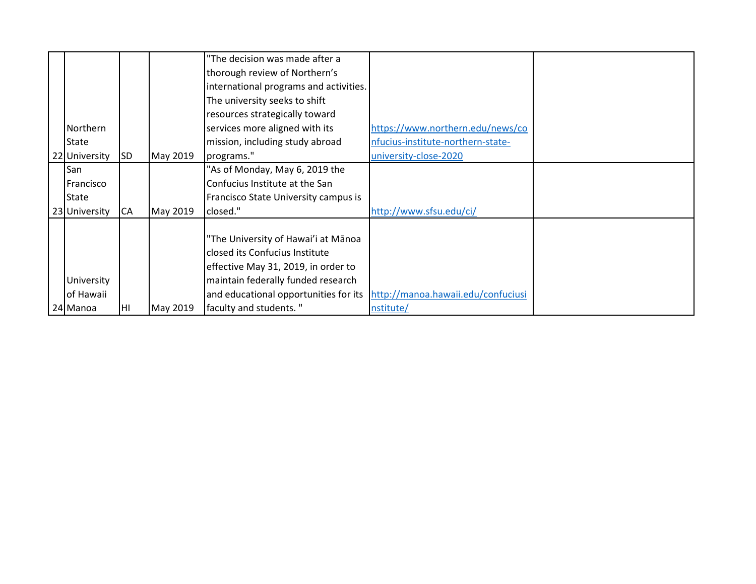|               |           |          | "The decision was made after a         |                                    |  |
|---------------|-----------|----------|----------------------------------------|------------------------------------|--|
|               |           |          | thorough review of Northern's          |                                    |  |
|               |           |          | international programs and activities. |                                    |  |
|               |           |          | The university seeks to shift          |                                    |  |
|               |           |          | resources strategically toward         |                                    |  |
| Northern      |           |          | services more aligned with its         | https://www.northern.edu/news/co   |  |
| <b>State</b>  |           |          | mission, including study abroad        | nfucius-institute-northern-state-  |  |
| 22 University | <b>SD</b> | May 2019 | programs."                             | university-close-2020              |  |
| San           |           |          | "As of Monday, May 6, 2019 the         |                                    |  |
| Francisco     |           |          | Confucius Institute at the San         |                                    |  |
| <b>State</b>  |           |          | Francisco State University campus is   |                                    |  |
| 23 University | CA        | May 2019 | closed."                               | http://www.sfsu.edu/ci/            |  |
|               |           |          |                                        |                                    |  |
|               |           |          | "The University of Hawai'i at Mānoa    |                                    |  |
|               |           |          | closed its Confucius Institute         |                                    |  |
|               |           |          | effective May 31, 2019, in order to    |                                    |  |
| University    |           |          | maintain federally funded research     |                                    |  |
| of Hawaii     |           |          | and educational opportunities for its  | http://manoa.hawaii.edu/confuciusi |  |
| 24 Manoa      | HI        | May 2019 | faculty and students."                 | nstitute/                          |  |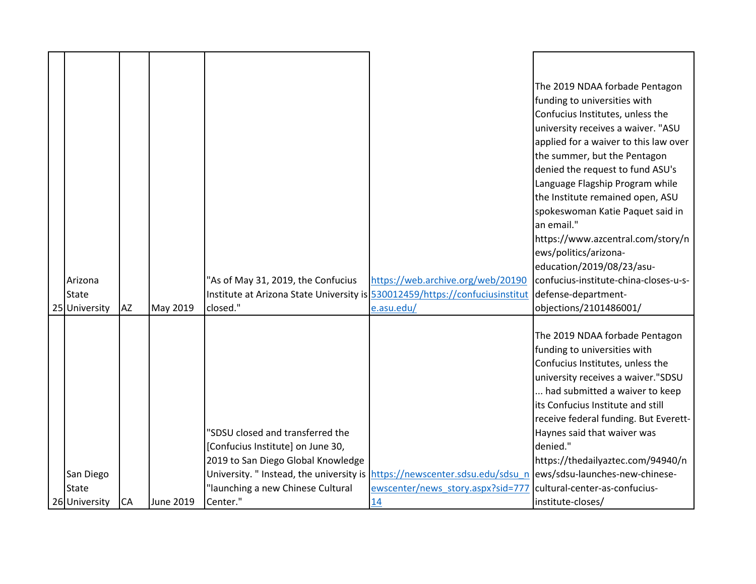|               |           |           |                                          |                                                                     | The 2019 NDAA forbade Pentagon        |
|---------------|-----------|-----------|------------------------------------------|---------------------------------------------------------------------|---------------------------------------|
|               |           |           |                                          |                                                                     | funding to universities with          |
|               |           |           |                                          |                                                                     | Confucius Institutes, unless the      |
|               |           |           |                                          |                                                                     | university receives a waiver. "ASU    |
|               |           |           |                                          |                                                                     | applied for a waiver to this law over |
|               |           |           |                                          |                                                                     | the summer, but the Pentagon          |
|               |           |           |                                          |                                                                     | denied the request to fund ASU's      |
|               |           |           |                                          |                                                                     | Language Flagship Program while       |
|               |           |           |                                          |                                                                     | the Institute remained open, ASU      |
|               |           |           |                                          |                                                                     | spokeswoman Katie Paquet said in      |
|               |           |           |                                          |                                                                     | an email."                            |
|               |           |           |                                          |                                                                     | https://www.azcentral.com/story/n     |
|               |           |           |                                          |                                                                     | ews/politics/arizona-                 |
|               |           |           |                                          |                                                                     | education/2019/08/23/asu-             |
| Arizona       |           |           | "As of May 31, 2019, the Confucius       | https://web.archive.org/web/20190                                   | confucius-institute-china-closes-u-s- |
| <b>State</b>  |           |           | Institute at Arizona State University is | 530012459/https://confuciusinstitut                                 | defense-department-                   |
| 25 University | <b>AZ</b> | May 2019  | closed."                                 | e.asu.edu/                                                          | objections/2101486001/                |
|               |           |           |                                          |                                                                     |                                       |
|               |           |           |                                          |                                                                     | The 2019 NDAA forbade Pentagon        |
|               |           |           |                                          |                                                                     | funding to universities with          |
|               |           |           |                                          |                                                                     | Confucius Institutes, unless the      |
|               |           |           |                                          |                                                                     | university receives a waiver."SDSU    |
|               |           |           |                                          |                                                                     | had submitted a waiver to keep        |
|               |           |           |                                          |                                                                     | its Confucius Institute and still     |
|               |           |           |                                          |                                                                     | receive federal funding. But Everett- |
|               |           |           | "SDSU closed and transferred the         |                                                                     | Haynes said that waiver was           |
|               |           |           | [Confucius Institute] on June 30,        |                                                                     | denied."                              |
|               |           |           | 2019 to San Diego Global Knowledge       |                                                                     | https://thedailyaztec.com/94940/n     |
| San Diego     |           |           | University. " Instead, the university is | https://newscenter.sdsu.edu/sdsu_n   ews/sdsu-launches-new-chinese- |                                       |
| <b>State</b>  |           |           | "launching a new Chinese Cultural        | ewscenter/news story.aspx?sid=777                                   | cultural-center-as-confucius-         |
| 26 University | <b>CA</b> | June 2019 | Center."                                 | 14                                                                  | institute-closes/                     |